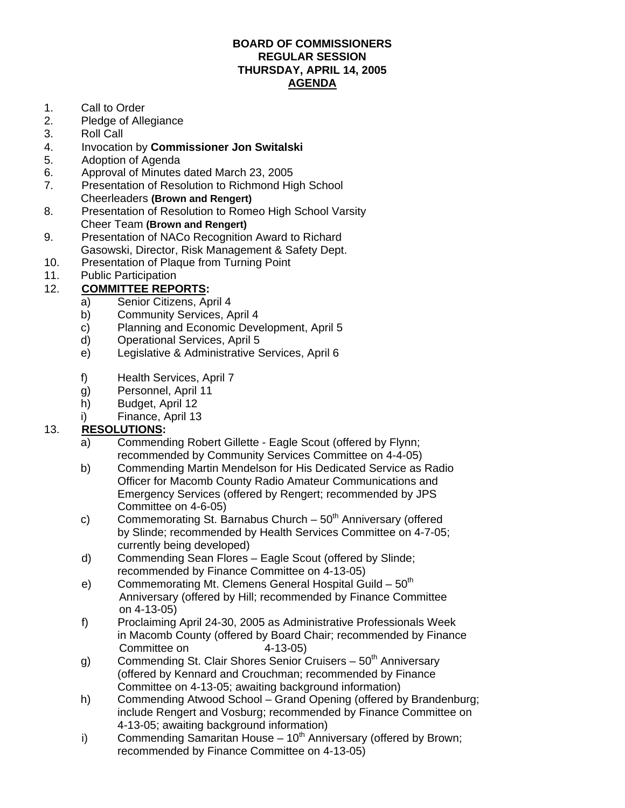#### **BOARD OF COMMISSIONERS REGULAR SESSION THURSDAY, APRIL 14, 2005 AGENDA**

- 1. Call to Order
- 2. Pledge of Allegiance
- 3. Roll Call
- 4. Invocation by **Commissioner Jon Switalski**
- 5. Adoption of Agenda
- 6. Approval of Minutes dated March 23, 2005
- 7. Presentation of Resolution to Richmond High School Cheerleaders **(Brown and Rengert)**
- 8. Presentation of Resolution to Romeo High School Varsity Cheer Team **(Brown and Rengert)**
- 9. Presentation of NACo Recognition Award to Richard Gasowski, Director, Risk Management & Safety Dept.
- 10. Presentation of Plaque from Turning Point
- 11. Public Participation

### 12. **COMMITTEE REPORTS:**

- a) Senior Citizens, April 4
- b) Community Services, April 4
- c) Planning and Economic Development, April 5
- d) Operational Services, April 5
- e) Legislative & Administrative Services, April 6
- f) Health Services, April 7
- g) Personnel, April 11
- h) Budget, April 12
- i) Finance, April 13

#### 13. **RESOLUTIONS:**

- a) Commending Robert Gillette Eagle Scout (offered by Flynn; recommended by Community Services Committee on 4-4-05)
- b) Commending Martin Mendelson for His Dedicated Service as Radio Officer for Macomb County Radio Amateur Communications and Emergency Services (offered by Rengert; recommended by JPS Committee on 4-6-05)
- c) Commemorating St. Barnabus Church  $-50<sup>th</sup>$  Anniversary (offered by Slinde; recommended by Health Services Committee on 4-7-05; currently being developed)
- d) Commending Sean Flores Eagle Scout (offered by Slinde; recommended by Finance Committee on 4-13-05)
- e) Commemorating Mt. Clemens General Hospital Guild  $50<sup>th</sup>$  Anniversary (offered by Hill; recommended by Finance Committee on 4-13-05)
- f) Proclaiming April 24-30, 2005 as Administrative Professionals Week in Macomb County (offered by Board Chair; recommended by Finance Committee on 4-13-05)
- g) Commending St. Clair Shores Senior Cruisers  $50<sup>th</sup>$  Anniversary (offered by Kennard and Crouchman; recommended by Finance Committee on 4-13-05; awaiting background information)
- h) Commending Atwood School Grand Opening (offered by Brandenburg; include Rengert and Vosburg; recommended by Finance Committee on 4-13-05; awaiting background information)
- i) Commending Samaritan House  $10<sup>th</sup>$  Anniversary (offered by Brown; recommended by Finance Committee on 4-13-05)